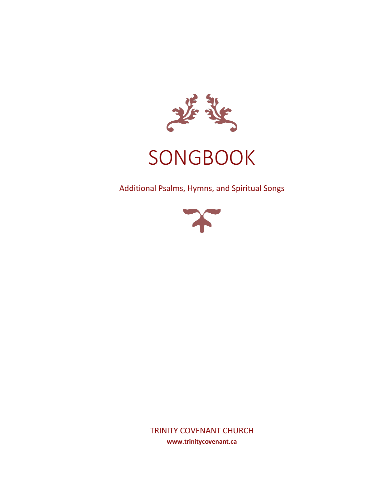

# SONGBOOK

#### Additional Psalms, Hymns, and Spiritual Songs



TRINITY COVENANT CHURCH **www.trinitycovenant.ca**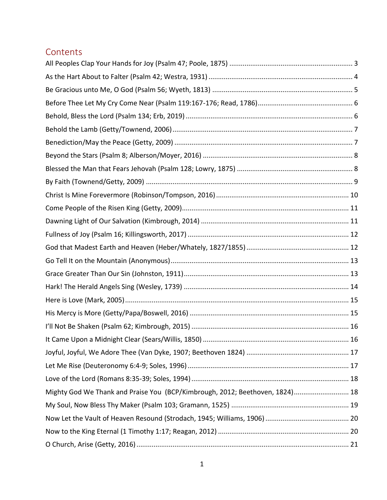#### **Contents**

| Mighty God We Thank and Praise You (BCP/Kimbrough, 2012; Beethoven, 1824) 18 |  |
|------------------------------------------------------------------------------|--|
|                                                                              |  |
|                                                                              |  |
|                                                                              |  |
|                                                                              |  |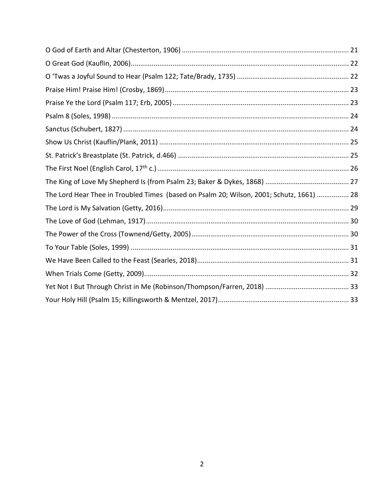| The Lord Hear Thee in Troubled Times (based on Psalm 20; Wilson, 2001; Schutz, 1661)  28 |  |
|------------------------------------------------------------------------------------------|--|
|                                                                                          |  |
|                                                                                          |  |
|                                                                                          |  |
|                                                                                          |  |
|                                                                                          |  |
|                                                                                          |  |
|                                                                                          |  |
|                                                                                          |  |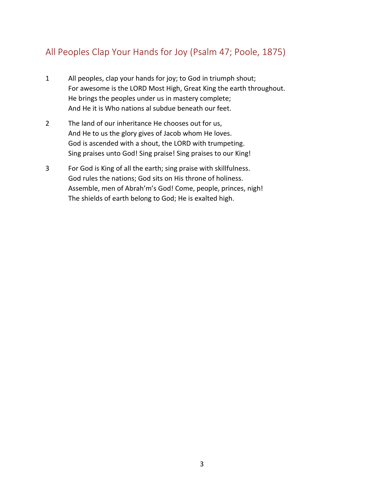## <span id="page-3-0"></span>All Peoples Clap Your Hands for Joy (Psalm 47; Poole, 1875)

- 1 All peoples, clap your hands for joy; to God in triumph shout; For awesome is the LORD Most High, Great King the earth throughout. He brings the peoples under us in mastery complete; And He it is Who nations al subdue beneath our feet.
- 2 The land of our inheritance He chooses out for us, And He to us the glory gives of Jacob whom He loves. God is ascended with a shout, the LORD with trumpeting. Sing praises unto God! Sing praise! Sing praises to our King!
- 3 For God is King of all the earth; sing praise with skillfulness. God rules the nations; God sits on His throne of holiness. Assemble, men of Abrah'm's God! Come, people, princes, nigh! The shields of earth belong to God; He is exalted high.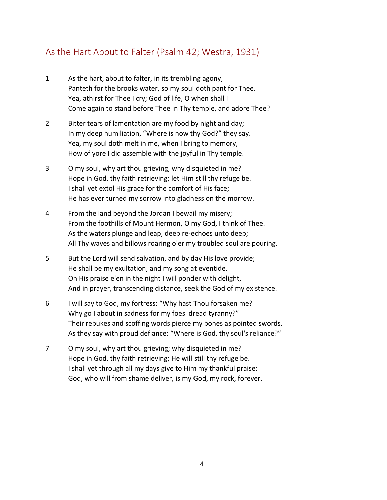## <span id="page-4-0"></span>As the Hart About to Falter (Psalm 42; Westra, 1931)

- 1 As the hart, about to falter, in its trembling agony, Panteth for the brooks water, so my soul doth pant for Thee. Yea, athirst for Thee I cry; God of life, O when shall I Come again to stand before Thee in Thy temple, and adore Thee?
- 2 Bitter tears of lamentation are my food by night and day; In my deep humiliation, "Where is now thy God?" they say. Yea, my soul doth melt in me, when I bring to memory, How of yore I did assemble with the joyful in Thy temple.
- 3 O my soul, why art thou grieving, why disquieted in me? Hope in God, thy faith retrieving; let Him still thy refuge be. I shall yet extol His grace for the comfort of His face; He has ever turned my sorrow into gladness on the morrow.
- 4 From the land beyond the Jordan I bewail my misery; From the foothills of Mount Hermon, O my God, I think of Thee. As the waters plunge and leap, deep re-echoes unto deep; All Thy waves and billows roaring o'er my troubled soul are pouring.
- 5 But the Lord will send salvation, and by day His love provide; He shall be my exultation, and my song at eventide. On His praise e'en in the night I will ponder with delight, And in prayer, transcending distance, seek the God of my existence.
- 6 I will say to God, my fortress: "Why hast Thou forsaken me? Why go I about in sadness for my foes' dread tyranny?" Their rebukes and scoffing words pierce my bones as pointed swords, As they say with proud defiance: "Where is God, thy soul's reliance?"
- 7 O my soul, why art thou grieving; why disquieted in me? Hope in God, thy faith retrieving; He will still thy refuge be. I shall yet through all my days give to Him my thankful praise; God, who will from shame deliver, is my God, my rock, forever.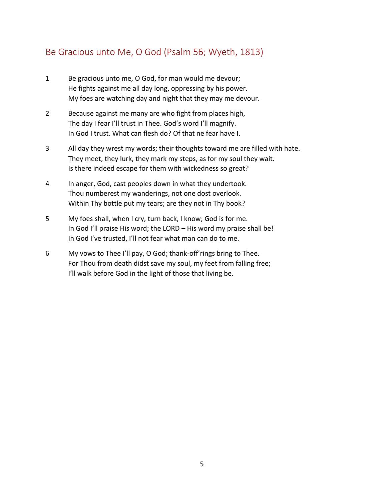## <span id="page-5-0"></span>Be Gracious unto Me, O God (Psalm 56; Wyeth, 1813)

- 1 Be gracious unto me, O God, for man would me devour; He fights against me all day long, oppressing by his power. My foes are watching day and night that they may me devour.
- 2 Because against me many are who fight from places high, The day I fear I'll trust in Thee. God's word I'll magnify. In God I trust. What can flesh do? Of that ne fear have I.
- 3 All day they wrest my words; their thoughts toward me are filled with hate. They meet, they lurk, they mark my steps, as for my soul they wait. Is there indeed escape for them with wickedness so great?
- 4 In anger, God, cast peoples down in what they undertook. Thou numberest my wanderings, not one dost overlook. Within Thy bottle put my tears; are they not in Thy book?
- 5 My foes shall, when I cry, turn back, I know; God is for me. In God I'll praise His word; the LORD – His word my praise shall be! In God I've trusted, I'll not fear what man can do to me.
- 6 My vows to Thee I'll pay, O God; thank-off'rings bring to Thee. For Thou from death didst save my soul, my feet from falling free; I'll walk before God in the light of those that living be.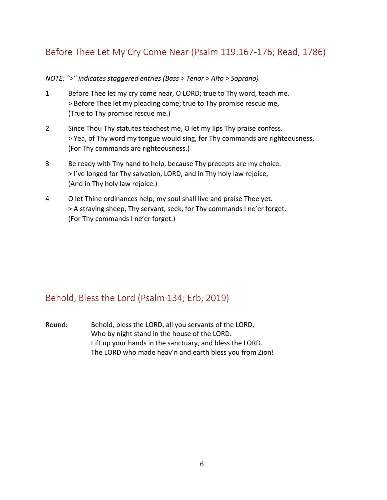## <span id="page-6-0"></span>Before Thee Let My Cry Come Near (Psalm 119:167-176; Read, 1786)

#### *NOTE: ">" indicates staggered entries (Bass > Tenor > Alto > Soprano)*

- 1 Before Thee let my cry come near, O LORD; true to Thy word, teach me. > Before Thee let my pleading come; true to Thy promise rescue me, (True to Thy promise rescue me.)
- 2 Since Thou Thy statutes teachest me, O let my lips Thy praise confess. > Yea, of Thy word my tongue would sing, for Thy commands are righteousness, (For Thy commands are righteousness.)
- 3 Be ready with Thy hand to help, because Thy precepts are my choice. > I've longed for Thy salvation, LORD, and in Thy holy law rejoice, (And in Thy holy law rejoice.)
- 4 O let Thine ordinances help; my soul shall live and praise Thee yet. > A straying sheep, Thy servant, seek, for Thy commands I ne'er forget, (For Thy commands I ne'er forget.)

#### <span id="page-6-1"></span>Behold, Bless the Lord (Psalm 134; Erb, 2019)

Round: Behold, bless the LORD, all you servants of the LORD, Who by night stand in the house of the LORD. Lift up your hands in the sanctuary, and bless the LORD. The LORD who made heav'n and earth bless you from Zion!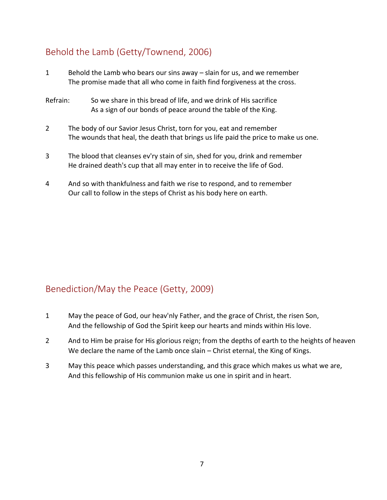## <span id="page-7-0"></span>Behold the Lamb (Getty/Townend, 2006)

- 1 Behold the Lamb who bears our sins away slain for us, and we remember The promise made that all who come in faith find forgiveness at the cross.
- Refrain: So we share in this bread of life, and we drink of His sacrifice As a sign of our bonds of peace around the table of the King.
- 2 The body of our Savior Jesus Christ, torn for you, eat and remember The wounds that heal, the death that brings us life paid the price to make us one.
- 3 The blood that cleanses ev'ry stain of sin, shed for you, drink and remember He drained death's cup that all may enter in to receive the life of God.
- 4 And so with thankfulness and faith we rise to respond, and to remember Our call to follow in the steps of Christ as his body here on earth.

## <span id="page-7-1"></span>Benediction/May the Peace (Getty, 2009)

- 1 May the peace of God, our heav'nly Father, and the grace of Christ, the risen Son, And the fellowship of God the Spirit keep our hearts and minds within His love.
- 2 And to Him be praise for His glorious reign; from the depths of earth to the heights of heaven We declare the name of the Lamb once slain – Christ eternal, the King of Kings.
- 3 May this peace which passes understanding, and this grace which makes us what we are, And this fellowship of His communion make us one in spirit and in heart.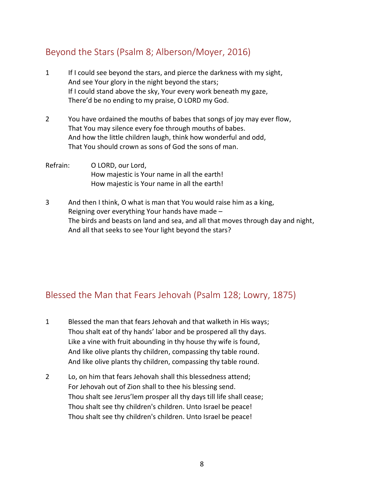#### <span id="page-8-0"></span>Beyond the Stars (Psalm 8; Alberson/Moyer, 2016)

- 1 If I could see beyond the stars, and pierce the darkness with my sight, And see Your glory in the night beyond the stars; If I could stand above the sky, Your every work beneath my gaze, There'd be no ending to my praise, O LORD my God.
- 2 You have ordained the mouths of babes that songs of joy may ever flow, That You may silence every foe through mouths of babes. And how the little children laugh, think how wonderful and odd, That You should crown as sons of God the sons of man.
- Refrain: O LORD, our Lord, How majestic is Your name in all the earth! How majestic is Your name in all the earth!
- 3 And then I think, O what is man that You would raise him as a king, Reigning over everything Your hands have made – The birds and beasts on land and sea, and all that moves through day and night, And all that seeks to see Your light beyond the stars?

## <span id="page-8-1"></span>Blessed the Man that Fears Jehovah (Psalm 128; Lowry, 1875)

- 1 Blessed the man that fears Jehovah and that walketh in His ways; Thou shalt eat of thy hands' labor and be prospered all thy days. Like a vine with fruit abounding in thy house thy wife is found, And like olive plants thy children, compassing thy table round. And like olive plants thy children, compassing thy table round.
- 2 Lo, on him that fears Jehovah shall this blessedness attend; For Jehovah out of Zion shall to thee his blessing send. Thou shalt see Jerus'lem prosper all thy days till life shall cease; Thou shalt see thy children's children. Unto Israel be peace! Thou shalt see thy children's children. Unto Israel be peace!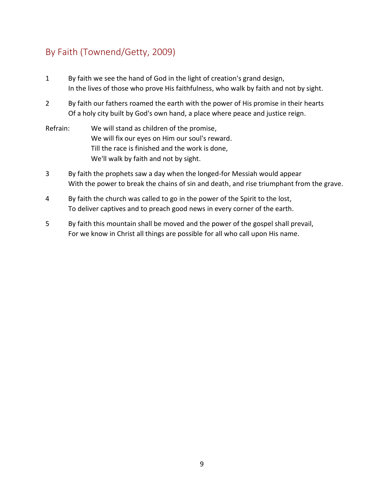## <span id="page-9-0"></span>By Faith (Townend/Getty, 2009)

- 1 By faith we see the hand of God in the light of creation's grand design, In the lives of those who prove His faithfulness, who walk by faith and not by sight.
- 2 By faith our fathers roamed the earth with the power of His promise in their hearts Of a holy city built by God's own hand, a place where peace and justice reign.
- Refrain: We will stand as children of the promise, We will fix our eyes on Him our soul's reward. Till the race is finished and the work is done, We'll walk by faith and not by sight.
- 3 By faith the prophets saw a day when the longed-for Messiah would appear With the power to break the chains of sin and death, and rise triumphant from the grave.
- 4 By faith the church was called to go in the power of the Spirit to the lost, To deliver captives and to preach good news in every corner of the earth.
- 5 By faith this mountain shall be moved and the power of the gospel shall prevail, For we know in Christ all things are possible for all who call upon His name.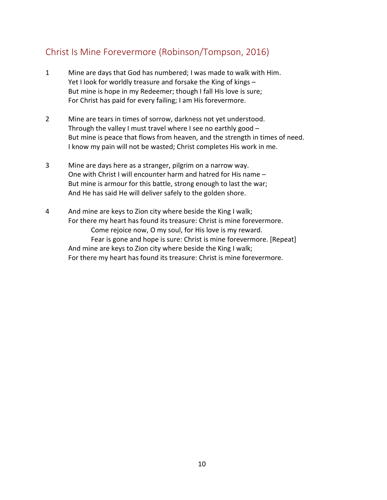## <span id="page-10-0"></span>Christ Is Mine Forevermore (Robinson/Tompson, 2016)

- 1 Mine are days that God has numbered; I was made to walk with Him. Yet I look for worldly treasure and forsake the King of kings – But mine is hope in my Redeemer; though I fall His love is sure; For Christ has paid for every failing; I am His forevermore.
- 2 Mine are tears in times of sorrow, darkness not yet understood. Through the valley I must travel where I see no earthly good – But mine is peace that flows from heaven, and the strength in times of need. I know my pain will not be wasted; Christ completes His work in me.
- 3 Mine are days here as a stranger, pilgrim on a narrow way. One with Christ I will encounter harm and hatred for His name – But mine is armour for this battle, strong enough to last the war; And He has said He will deliver safely to the golden shore.
- 4 And mine are keys to Zion city where beside the King I walk; For there my heart has found its treasure: Christ is mine forevermore. Come rejoice now, O my soul, for His love is my reward. Fear is gone and hope is sure: Christ is mine forevermore. [Repeat] And mine are keys to Zion city where beside the King I walk; For there my heart has found its treasure: Christ is mine forevermore.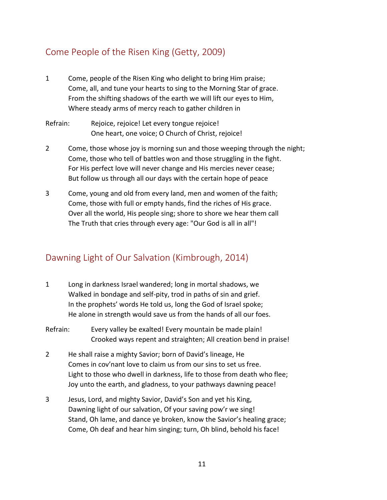#### <span id="page-11-0"></span>Come People of the Risen King (Getty, 2009)

- 1 Come, people of the Risen King who delight to bring Him praise; Come, all, and tune your hearts to sing to the Morning Star of grace. From the shifting shadows of the earth we will lift our eyes to Him, Where steady arms of mercy reach to gather children in
- Refrain: Rejoice, rejoice! Let every tongue rejoice! One heart, one voice; O Church of Christ, rejoice!
- 2 Come, those whose joy is morning sun and those weeping through the night; Come, those who tell of battles won and those struggling in the fight. For His perfect love will never change and His mercies never cease; But follow us through all our days with the certain hope of peace
- 3 Come, young and old from every land, men and women of the faith; Come, those with full or empty hands, find the riches of His grace. Over all the world, His people sing; shore to shore we hear them call The Truth that cries through every age: "Our God is all in all"!

#### <span id="page-11-1"></span>Dawning Light of Our Salvation (Kimbrough, 2014)

- 1 Long in darkness Israel wandered; long in mortal shadows, we Walked in bondage and self-pity, trod in paths of sin and grief. In the prophets' words He told us, long the God of Israel spoke; He alone in strength would save us from the hands of all our foes.
- Refrain: Every valley be exalted! Every mountain be made plain! Crooked ways repent and straighten; All creation bend in praise!
- 2 He shall raise a mighty Savior; born of David's lineage, He Comes in cov'nant love to claim us from our sins to set us free. Light to those who dwell in darkness, life to those from death who flee; Joy unto the earth, and gladness, to your pathways dawning peace!
- 3 Jesus, Lord, and mighty Savior, David's Son and yet his King, Dawning light of our salvation, Of your saving pow'r we sing! Stand, Oh lame, and dance ye broken, know the Savior's healing grace; Come, Oh deaf and hear him singing; turn, Oh blind, behold his face!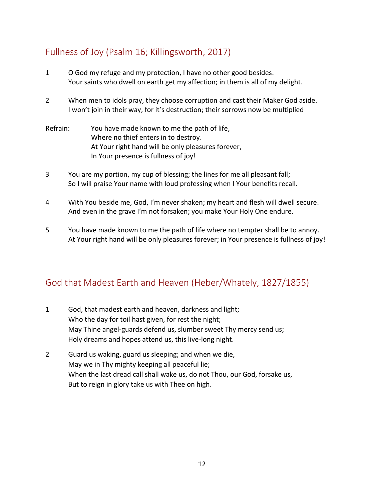## <span id="page-12-0"></span>Fullness of Joy (Psalm 16; Killingsworth, 2017)

- 1 O God my refuge and my protection, I have no other good besides. Your saints who dwell on earth get my affection; in them is all of my delight.
- 2 When men to idols pray, they choose corruption and cast their Maker God aside. I won't join in their way, for it's destruction; their sorrows now be multiplied
- Refrain: You have made known to me the path of life, Where no thief enters in to destroy. At Your right hand will be only pleasures forever, In Your presence is fullness of joy!
- 3 You are my portion, my cup of blessing; the lines for me all pleasant fall; So I will praise Your name with loud professing when I Your benefits recall.
- 4 With You beside me, God, I'm never shaken; my heart and flesh will dwell secure. And even in the grave I'm not forsaken; you make Your Holy One endure.
- 5 You have made known to me the path of life where no tempter shall be to annoy. At Your right hand will be only pleasures forever; in Your presence is fullness of joy!

#### <span id="page-12-1"></span>God that Madest Earth and Heaven (Heber/Whately, 1827/1855)

- 1 God, that madest earth and heaven, darkness and light; Who the day for toil hast given, for rest the night; May Thine angel-guards defend us, slumber sweet Thy mercy send us; Holy dreams and hopes attend us, this live-long night.
- 2 Guard us waking, guard us sleeping; and when we die, May we in Thy mighty keeping all peaceful lie; When the last dread call shall wake us, do not Thou, our God, forsake us, But to reign in glory take us with Thee on high.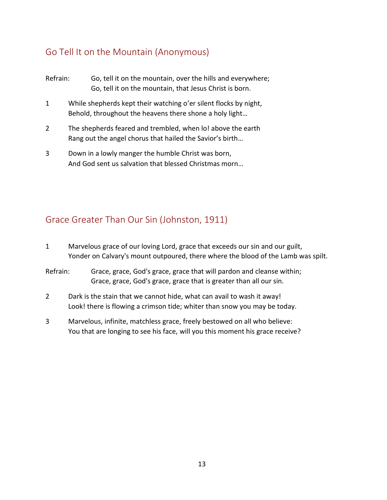## <span id="page-13-0"></span>Go Tell It on the Mountain (Anonymous)

- Refrain: Go, tell it on the mountain, over the hills and everywhere; Go, tell it on the mountain, that Jesus Christ is born.
- 1 While shepherds kept their watching o'er silent flocks by night, Behold, throughout the heavens there shone a holy light…
- 2 The shepherds feared and trembled, when lo! above the earth Rang out the angel chorus that hailed the Savior's birth…
- 3 Down in a lowly manger the humble Christ was born, And God sent us salvation that blessed Christmas morn…

## <span id="page-13-1"></span>Grace Greater Than Our Sin (Johnston, 1911)

- 1 Marvelous grace of our loving Lord, grace that exceeds our sin and our guilt, Yonder on Calvary's mount outpoured, there where the blood of the Lamb was spilt.
- Refrain: Grace, grace, God's grace, grace that will pardon and cleanse within; Grace, grace, God's grace, grace that is greater than all our sin.
- 2 Dark is the stain that we cannot hide, what can avail to wash it away! Look! there is flowing a crimson tide; whiter than snow you may be today.
- 3 Marvelous, infinite, matchless grace, freely bestowed on all who believe: You that are longing to see his face, will you this moment his grace receive?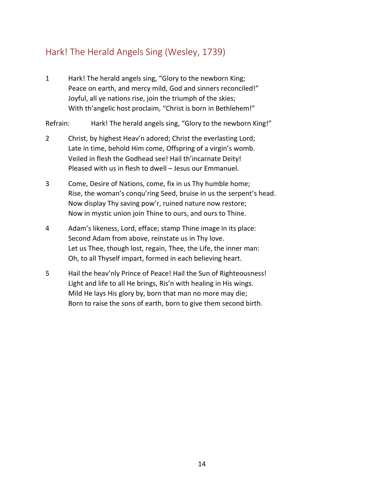#### <span id="page-14-0"></span>Hark! The Herald Angels Sing (Wesley, 1739)

1 Hark! The herald angels sing, "Glory to the newborn King; Peace on earth, and mercy mild, God and sinners reconciled!" Joyful, all ye nations rise, join the triumph of the skies; With th'angelic host proclaim, "Christ is born in Bethlehem!"

Refrain: Hark! The herald angels sing, "Glory to the newborn King!"

- 2 Christ, by highest Heav'n adored; Christ the everlasting Lord; Late in time, behold Him come, Offspring of a virgin's womb. Veiled in flesh the Godhead see! Hail th'incarnate Deity! Pleased with us in flesh to dwell – Jesus our Emmanuel.
- 3 Come, Desire of Nations, come, fix in us Thy humble home; Rise, the woman's conqu'ring Seed, bruise in us the serpent's head. Now display Thy saving pow'r, ruined nature now restore; Now in mystic union join Thine to ours, and ours to Thine.
- 4 Adam's likeness, Lord, efface; stamp Thine image in its place: Second Adam from above, reinstate us in Thy love. Let us Thee, though lost, regain, Thee, the Life, the inner man: Oh, to all Thyself impart, formed in each believing heart.
- 5 Hail the heav'nly Prince of Peace! Hail the Sun of Righteousness! Light and life to all He brings, Ris'n with healing in His wings. Mild He lays His glory by, born that man no more may die; Born to raise the sons of earth, born to give them second birth.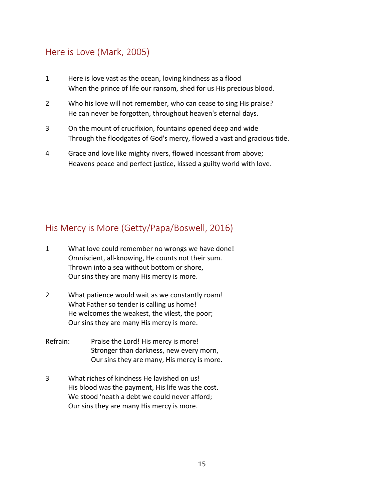#### <span id="page-15-0"></span>Here is Love (Mark, 2005)

- 1 Here is love vast as the ocean, loving kindness as a flood When the prince of life our ransom, shed for us His precious blood.
- 2 Who his love will not remember, who can cease to sing His praise? He can never be forgotten, throughout heaven's eternal days.
- 3 On the mount of crucifixion, fountains opened deep and wide Through the floodgates of God's mercy, flowed a vast and gracious tide.
- 4 Grace and love like mighty rivers, flowed incessant from above; Heavens peace and perfect justice, kissed a guilty world with love.

#### <span id="page-15-1"></span>His Mercy is More (Getty/Papa/Boswell, 2016)

- 1 What love could remember no wrongs we have done! Omniscient, all-knowing, He counts not their sum. Thrown into a sea without bottom or shore, Our sins they are many His mercy is more.
- 2 What patience would wait as we constantly roam! What Father so tender is calling us home! He welcomes the weakest, the vilest, the poor; Our sins they are many His mercy is more.
- Refrain: Praise the Lord! His mercy is more! Stronger than darkness, new every morn, Our sins they are many, His mercy is more.
- 3 What riches of kindness He lavished on us! His blood was the payment, His life was the cost. We stood 'neath a debt we could never afford; Our sins they are many His mercy is more.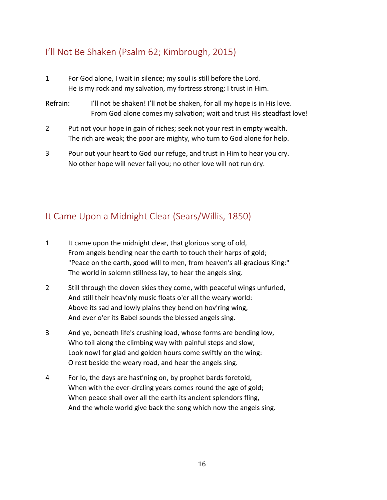## <span id="page-16-0"></span>I'll Not Be Shaken (Psalm 62; Kimbrough, 2015)

- 1 For God alone, I wait in silence; my soul is still before the Lord. He is my rock and my salvation, my fortress strong; I trust in Him.
- Refrain: I'll not be shaken! I'll not be shaken, for all my hope is in His love. From God alone comes my salvation; wait and trust His steadfast love!
- 2 Put not your hope in gain of riches; seek not your rest in empty wealth. The rich are weak; the poor are mighty, who turn to God alone for help.
- 3 Pour out your heart to God our refuge, and trust in Him to hear you cry. No other hope will never fail you; no other love will not run dry.

## <span id="page-16-1"></span>It Came Upon a Midnight Clear (Sears/Willis, 1850)

- 1 It came upon the midnight clear, that glorious song of old, From angels bending near the earth to touch their harps of gold; "Peace on the earth, good will to men, from heaven's all-gracious King:" The world in solemn stillness lay, to hear the angels sing.
- 2 Still through the cloven skies they come, with peaceful wings unfurled, And still their heav'nly music floats o'er all the weary world: Above its sad and lowly plains they bend on hov'ring wing, And ever o'er its Babel sounds the blessed angels sing.
- 3 And ye, beneath life's crushing load, whose forms are bending low, Who toil along the climbing way with painful steps and slow, Look now! for glad and golden hours come swiftly on the wing: O rest beside the weary road, and hear the angels sing.
- 4 For lo, the days are hast'ning on, by prophet bards foretold, When with the ever-circling years comes round the age of gold; When peace shall over all the earth its ancient splendors fling, And the whole world give back the song which now the angels sing.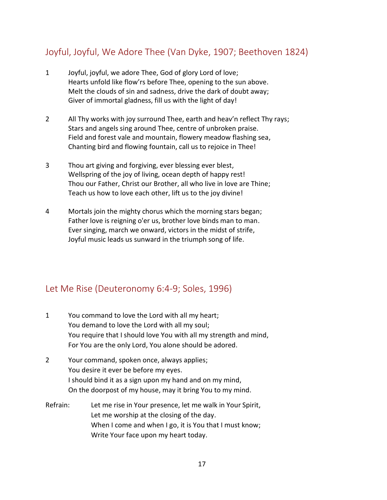## <span id="page-17-0"></span>Joyful, Joyful, We Adore Thee (Van Dyke, 1907; Beethoven 1824)

- 1 Joyful, joyful, we adore Thee, God of glory Lord of love; Hearts unfold like flow'rs before Thee, opening to the sun above. Melt the clouds of sin and sadness, drive the dark of doubt away; Giver of immortal gladness, fill us with the light of day!
- 2 All Thy works with joy surround Thee, earth and heav'n reflect Thy rays; Stars and angels sing around Thee, centre of unbroken praise. Field and forest vale and mountain, flowery meadow flashing sea, Chanting bird and flowing fountain, call us to rejoice in Thee!
- 3 Thou art giving and forgiving, ever blessing ever blest, Wellspring of the joy of living, ocean depth of happy rest! Thou our Father, Christ our Brother, all who live in love are Thine; Teach us how to love each other, lift us to the joy divine!
- 4 Mortals join the mighty chorus which the morning stars began; Father love is reigning o'er us, brother love binds man to man. Ever singing, march we onward, victors in the midst of strife, Joyful music leads us sunward in the triumph song of life.

#### <span id="page-17-1"></span>Let Me Rise (Deuteronomy 6:4-9; Soles, 1996)

- 1 You command to love the Lord with all my heart; You demand to love the Lord with all my soul; You require that I should love You with all my strength and mind, For You are the only Lord, You alone should be adored.
- 2 Your command, spoken once, always applies; You desire it ever be before my eyes. I should bind it as a sign upon my hand and on my mind, On the doorpost of my house, may it bring You to my mind.
- Refrain: Let me rise in Your presence, let me walk in Your Spirit, Let me worship at the closing of the day. When I come and when I go, it is You that I must know; Write Your face upon my heart today.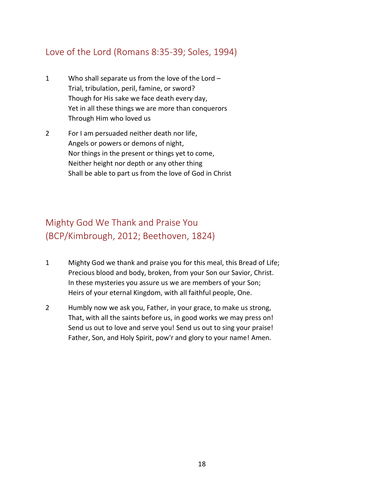#### <span id="page-18-0"></span>Love of the Lord (Romans 8:35-39; Soles, 1994)

- 1 Who shall separate us from the love of the Lord Trial, tribulation, peril, famine, or sword? Though for His sake we face death every day, Yet in all these things we are more than conquerors Through Him who loved us
- 2 For I am persuaded neither death nor life, Angels or powers or demons of night, Nor things in the present or things yet to come, Neither height nor depth or any other thing Shall be able to part us from the love of God in Christ

## <span id="page-18-1"></span>Mighty God We Thank and Praise You (BCP/Kimbrough, 2012; Beethoven, 1824)

- 1 Mighty God we thank and praise you for this meal, this Bread of Life; Precious blood and body, broken, from your Son our Savior, Christ. In these mysteries you assure us we are members of your Son; Heirs of your eternal Kingdom, with all faithful people, One.
- 2 Humbly now we ask you, Father, in your grace, to make us strong, That, with all the saints before us, in good works we may press on! Send us out to love and serve you! Send us out to sing your praise! Father, Son, and Holy Spirit, pow'r and glory to your name! Amen.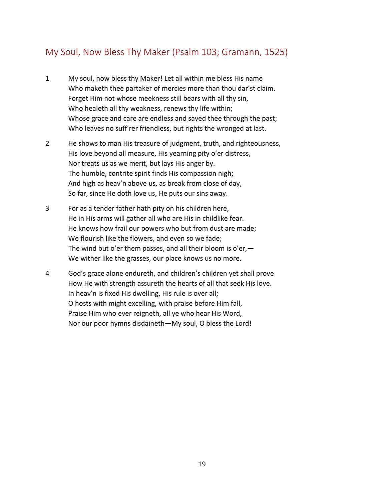#### <span id="page-19-0"></span>My Soul, Now Bless Thy Maker (Psalm 103; Gramann, 1525)

- 1 My soul, now bless thy Maker! Let all within me bless His name Who maketh thee partaker of mercies more than thou dar'st claim. Forget Him not whose meekness still bears with all thy sin, Who healeth all thy weakness, renews thy life within; Whose grace and care are endless and saved thee through the past; Who leaves no suff'rer friendless, but rights the wronged at last.
- 2 He shows to man His treasure of judgment, truth, and righteousness, His love beyond all measure, His yearning pity o'er distress, Nor treats us as we merit, but lays His anger by. The humble, contrite spirit finds His compassion nigh; And high as heav'n above us, as break from close of day, So far, since He doth love us, He puts our sins away.
- 3 For as a tender father hath pity on his children here, He in His arms will gather all who are His in childlike fear. He knows how frail our powers who but from dust are made; We flourish like the flowers, and even so we fade; The wind but o'er them passes, and all their bloom is o'er,  $-$ We wither like the grasses, our place knows us no more.
- 4 God's grace alone endureth, and children's children yet shall prove How He with strength assureth the hearts of all that seek His love. In heav'n is fixed His dwelling, His rule is over all; O hosts with might excelling, with praise before Him fall, Praise Him who ever reigneth, all ye who hear His Word, Nor our poor hymns disdaineth—My soul, O bless the Lord!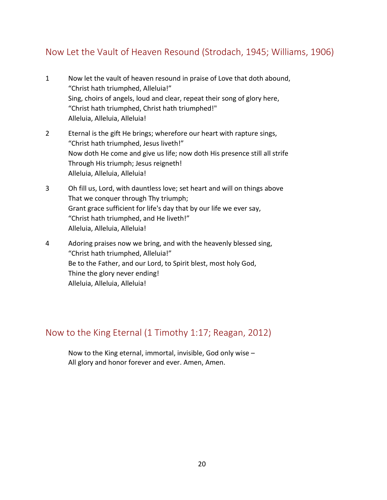#### <span id="page-20-0"></span>Now Let the Vault of Heaven Resound (Strodach, 1945; Williams, 1906)

- 1 Now let the vault of heaven resound in praise of Love that doth abound, "Christ hath triumphed, Alleluia!" Sing, choirs of angels, loud and clear, repeat their song of glory here, "Christ hath triumphed, Christ hath triumphed!" Alleluia, Alleluia, Alleluia!
- 2 Eternal is the gift He brings; wherefore our heart with rapture sings, "Christ hath triumphed, Jesus liveth!" Now doth He come and give us life; now doth His presence still all strife Through His triumph; Jesus reigneth! Alleluia, Alleluia, Alleluia!
- 3 Oh fill us, Lord, with dauntless love; set heart and will on things above That we conquer through Thy triumph; Grant grace sufficient for life's day that by our life we ever say, "Christ hath triumphed, and He liveth!" Alleluia, Alleluia, Alleluia!
- 4 Adoring praises now we bring, and with the heavenly blessed sing, "Christ hath triumphed, Alleluia!" Be to the Father, and our Lord, to Spirit blest, most holy God, Thine the glory never ending! Alleluia, Alleluia, Alleluia!

#### <span id="page-20-1"></span>Now to the King Eternal (1 Timothy 1:17; Reagan, 2012)

Now to the King eternal, immortal, invisible, God only wise – All glory and honor forever and ever. Amen, Amen.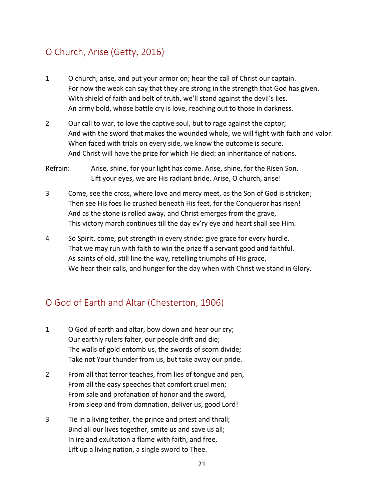## <span id="page-21-0"></span>O Church, Arise (Getty, 2016)

- 1 O church, arise, and put your armor on; hear the call of Christ our captain. For now the weak can say that they are strong in the strength that God has given. With shield of faith and belt of truth, we'll stand against the devil's lies. An army bold, whose battle cry is love, reaching out to those in darkness.
- 2 Our call to war, to love the captive soul, but to rage against the captor; And with the sword that makes the wounded whole, we will fight with faith and valor. When faced with trials on every side, we know the outcome is secure. And Christ will have the prize for which He died: an inheritance of nations.
- Refrain: Arise, shine, for your light has come. Arise, shine, for the Risen Son. Lift your eyes, we are His radiant bride. Arise, O church, arise!
- 3 Come, see the cross, where love and mercy meet, as the Son of God is stricken; Then see His foes lie crushed beneath His feet, for the Conqueror has risen! And as the stone is rolled away, and Christ emerges from the grave, This victory march continues till the day ev'ry eye and heart shall see Him.
- 4 So Spirit, come, put strength in every stride; give grace for every hurdle. That we may run with faith to win the prize ff a servant good and faithful. As saints of old, still line the way, retelling triumphs of His grace, We hear their calls, and hunger for the day when with Christ we stand in Glory.

## <span id="page-21-1"></span>O God of Earth and Altar (Chesterton, 1906)

- 1 O God of earth and altar, bow down and hear our cry; Our earthly rulers falter, our people drift and die; The walls of gold entomb us, the swords of scorn divide; Take not Your thunder from us, but take away our pride.
- 2 From all that terror teaches, from lies of tongue and pen, From all the easy speeches that comfort cruel men; From sale and profanation of honor and the sword, From sleep and from damnation, deliver us, good Lord!
- 3 Tie in a living tether, the prince and priest and thrall; Bind all our lives together, smite us and save us all; In ire and exultation a flame with faith, and free, Lift up a living nation, a single sword to Thee.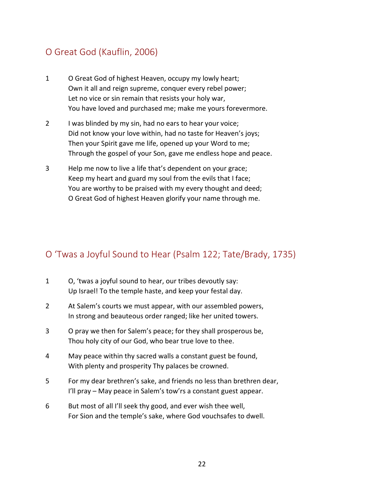## <span id="page-22-0"></span>O Great God (Kauflin, 2006)

- 1 O Great God of highest Heaven, occupy my lowly heart; Own it all and reign supreme, conquer every rebel power; Let no vice or sin remain that resists your holy war, You have loved and purchased me; make me yours forevermore.
- 2 I was blinded by my sin, had no ears to hear your voice; Did not know your love within, had no taste for Heaven's joys; Then your Spirit gave me life, opened up your Word to me; Through the gospel of your Son, gave me endless hope and peace.
- 3 Help me now to live a life that's dependent on your grace; Keep my heart and guard my soul from the evils that I face; You are worthy to be praised with my every thought and deed; O Great God of highest Heaven glorify your name through me.

## <span id="page-22-1"></span>O 'Twas a Joyful Sound to Hear (Psalm 122; Tate/Brady, 1735)

- 1 O, 'twas a joyful sound to hear, our tribes devoutly say: Up Israel! To the temple haste, and keep your festal day.
- 2 At Salem's courts we must appear, with our assembled powers, In strong and beauteous order ranged; like her united towers.
- 3 O pray we then for Salem's peace; for they shall prosperous be, Thou holy city of our God, who bear true love to thee.
- 4 May peace within thy sacred walls a constant guest be found, With plenty and prosperity Thy palaces be crowned.
- 5 For my dear brethren's sake, and friends no less than brethren dear, I'll pray – May peace in Salem's tow'rs a constant guest appear.
- 6 But most of all I'll seek thy good, and ever wish thee well, For Sion and the temple's sake, where God vouchsafes to dwell.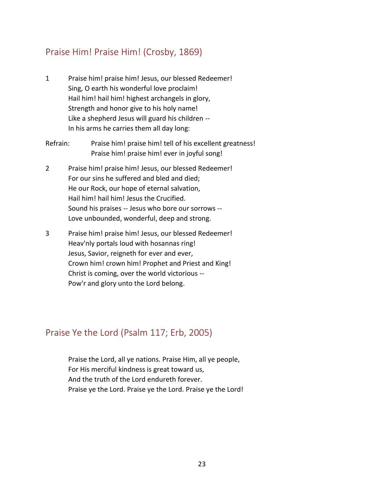#### <span id="page-23-0"></span>Praise Him! Praise Him! (Crosby, 1869)

1 Praise him! praise him! Jesus, our blessed Redeemer! Sing, O earth his wonderful love proclaim! Hail him! hail him! highest archangels in glory, Strength and honor give to his holy name! Like a shepherd Jesus will guard his children -- In his arms he carries them all day long:

Refrain: Praise him! praise him! tell of his excellent greatness! Praise him! praise him! ever in joyful song!

- 2 Praise him! praise him! Jesus, our blessed Redeemer! For our sins he suffered and bled and died; He our Rock, our hope of eternal salvation, Hail him! hail him! Jesus the Crucified. Sound his praises -- Jesus who bore our sorrows -- Love unbounded, wonderful, deep and strong.
- 3 Praise him! praise him! Jesus, our blessed Redeemer! Heav'nly portals loud with hosannas ring! Jesus, Savior, reigneth for ever and ever, Crown him! crown him! Prophet and Priest and King! Christ is coming, over the world victorious -- Pow'r and glory unto the Lord belong.

#### <span id="page-23-1"></span>Praise Ye the Lord (Psalm 117; Erb, 2005)

Praise the Lord, all ye nations. Praise Him, all ye people, For His merciful kindness is great toward us, And the truth of the Lord endureth forever. Praise ye the Lord. Praise ye the Lord. Praise ye the Lord!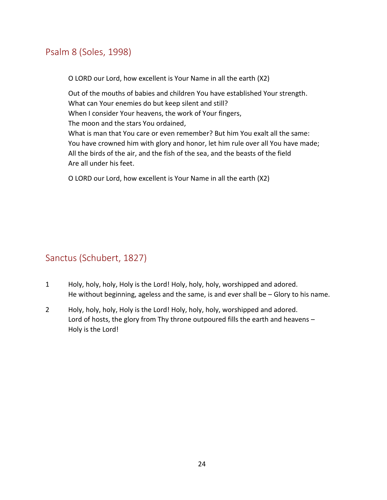#### <span id="page-24-0"></span>Psalm 8 (Soles, 1998)

O LORD our Lord, how excellent is Your Name in all the earth (X2)

Out of the mouths of babies and children You have established Your strength. What can Your enemies do but keep silent and still? When I consider Your heavens, the work of Your fingers, The moon and the stars You ordained, What is man that You care or even remember? But him You exalt all the same: You have crowned him with glory and honor, let him rule over all You have made; All the birds of the air, and the fish of the sea, and the beasts of the field Are all under his feet.

O LORD our Lord, how excellent is Your Name in all the earth (X2)

## <span id="page-24-1"></span>Sanctus (Schubert, 1827)

- 1 Holy, holy, holy, Holy is the Lord! Holy, holy, holy, worshipped and adored. He without beginning, ageless and the same, is and ever shall be – Glory to his name.
- 2 Holy, holy, holy, Holy is the Lord! Holy, holy, holy, worshipped and adored. Lord of hosts, the glory from Thy throne outpoured fills the earth and heavens – Holy is the Lord!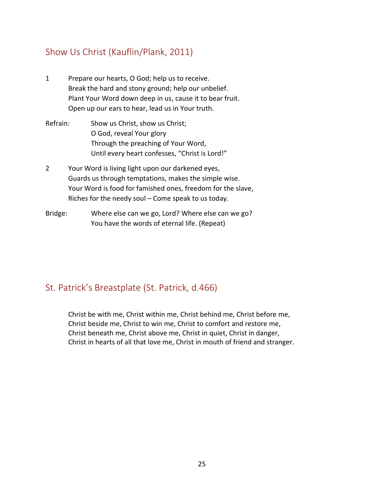#### <span id="page-25-0"></span>Show Us Christ (Kauflin/Plank, 2011)

- 1 Prepare our hearts, O God; help us to receive. Break the hard and stony ground; help our unbelief. Plant Your Word down deep in us, cause it to bear fruit. Open up our ears to hear, lead us in Your truth.
- Refrain: Show us Christ, show us Christ; O God, reveal Your glory Through the preaching of Your Word, Until every heart confesses, "Christ is Lord!"
- 2 Your Word is living light upon our darkened eyes, Guards us through temptations, makes the simple wise. Your Word is food for famished ones, freedom for the slave, Riches for the needy soul – Come speak to us today.
- Bridge: Where else can we go, Lord? Where else can we go? You have the words of eternal life. (Repeat)

#### <span id="page-25-1"></span>St. Patrick's Breastplate (St. Patrick, d.466)

Christ be with me, Christ within me, Christ behind me, Christ before me, Christ beside me, Christ to win me, Christ to comfort and restore me, Christ beneath me, Christ above me, Christ in quiet, Christ in danger, Christ in hearts of all that love me, Christ in mouth of friend and stranger.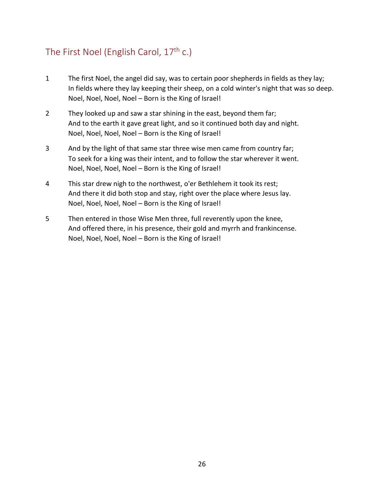## <span id="page-26-0"></span>The First Noel (English Carol, 17<sup>th</sup> c.)

- 1 The first Noel, the angel did say, was to certain poor shepherds in fields as they lay; In fields where they lay keeping their sheep, on a cold winter's night that was so deep. Noel, Noel, Noel, Noel – Born is the King of Israel!
- 2 They looked up and saw a star shining in the east, beyond them far; And to the earth it gave great light, and so it continued both day and night. Noel, Noel, Noel, Noel – Born is the King of Israel!
- 3 And by the light of that same star three wise men came from country far; To seek for a king was their intent, and to follow the star wherever it went. Noel, Noel, Noel, Noel – Born is the King of Israel!
- 4 This star drew nigh to the northwest, o'er Bethlehem it took its rest; And there it did both stop and stay, right over the place where Jesus lay. Noel, Noel, Noel, Noel – Born is the King of Israel!
- 5 Then entered in those Wise Men three, full reverently upon the knee, And offered there, in his presence, their gold and myrrh and frankincense. Noel, Noel, Noel, Noel – Born is the King of Israel!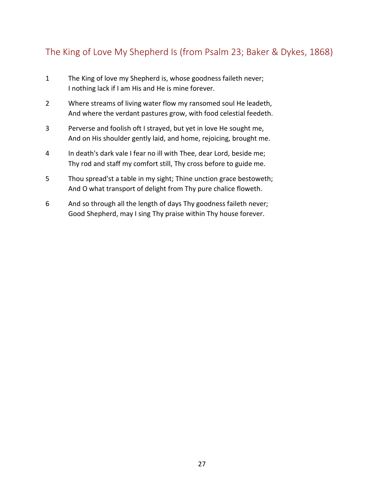## <span id="page-27-0"></span>The King of Love My Shepherd Is (from Psalm 23; Baker & Dykes, 1868)

- 1 The King of love my Shepherd is, whose goodness faileth never; I nothing lack if I am His and He is mine forever.
- 2 Where streams of living water flow my ransomed soul He leadeth, And where the verdant pastures grow, with food celestial feedeth.
- 3 Perverse and foolish oft I strayed, but yet in love He sought me, And on His shoulder gently laid, and home, rejoicing, brought me.
- 4 In death's dark vale I fear no ill with Thee, dear Lord, beside me; Thy rod and staff my comfort still, Thy cross before to guide me.
- 5 Thou spread'st a table in my sight; Thine unction grace bestoweth; And O what transport of delight from Thy pure chalice floweth.
- 6 And so through all the length of days Thy goodness faileth never; Good Shepherd, may I sing Thy praise within Thy house forever.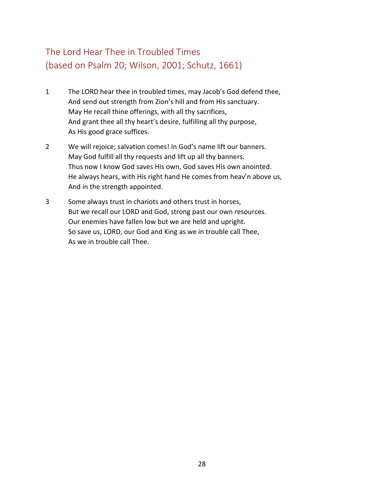## <span id="page-28-0"></span>The Lord Hear Thee in Troubled Times (based on Psalm 20; Wilson, 2001; Schutz, 1661)

- 1 The LORD hear thee in troubled times, may Jacob's God defend thee, And send out strength from Zion's hill and from His sanctuary. May He recall thine offerings, with all thy sacrifices, And grant thee all thy heart's desire, fulfilling all thy purpose, As His good grace suffices.
- 2 We will rejoice; salvation comes! In God's name lift our banners. May God fulfill all thy requests and lift up all thy banners. Thus now I know God saves His own, God saves His own anointed. He always hears, with His right hand He comes from heav'n above us, And in the strength appointed.
- 3 Some always trust in chariots and others trust in horses, But we recall our LORD and God, strong past our own resources. Our enemies have fallen low but we are held and upright. So save us, LORD, our God and King as we in trouble call Thee, As we in trouble call Thee.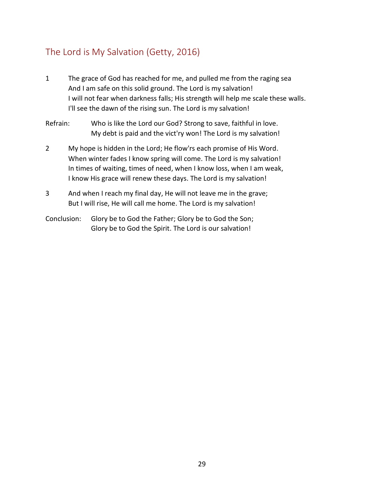## <span id="page-29-0"></span>The Lord is My Salvation (Getty, 2016)

- 1 The grace of God has reached for me, and pulled me from the raging sea And I am safe on this solid ground. The Lord is my salvation! I will not fear when darkness falls; His strength will help me scale these walls. I'll see the dawn of the rising sun. The Lord is my salvation!
- Refrain: Who is like the Lord our God? Strong to save, faithful in love. My debt is paid and the vict'ry won! The Lord is my salvation!
- 2 My hope is hidden in the Lord; He flow'rs each promise of His Word. When winter fades I know spring will come. The Lord is my salvation! In times of waiting, times of need, when I know loss, when I am weak, I know His grace will renew these days. The Lord is my salvation!
- 3 And when I reach my final day, He will not leave me in the grave; But I will rise, He will call me home. The Lord is my salvation!
- Conclusion: Glory be to God the Father; Glory be to God the Son; Glory be to God the Spirit. The Lord is our salvation!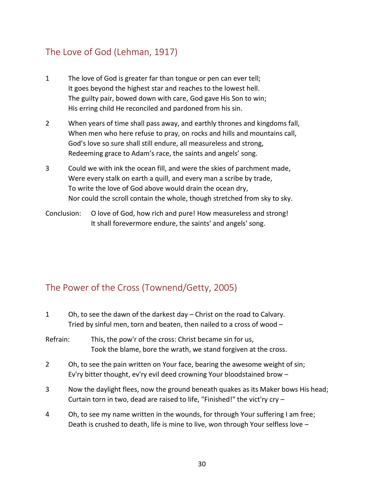## <span id="page-30-0"></span>The Love of God (Lehman, 1917)

- 1 The love of God is greater far than tongue or pen can ever tell; It goes beyond the highest star and reaches to the lowest hell. The guilty pair, bowed down with care, God gave His Son to win; His erring child He reconciled and pardoned from his sin.
- 2 When years of time shall pass away, and earthly thrones and kingdoms fall, When men who here refuse to pray, on rocks and hills and mountains call, God's love so sure shall still endure, all measureless and strong, Redeeming grace to Adam's race, the saints and angels' song.
- 3 Could we with ink the ocean fill, and were the skies of parchment made, Were every stalk on earth a quill, and every man a scribe by trade, To write the love of God above would drain the ocean dry, Nor could the scroll contain the whole, though stretched from sky to sky.
- Conclusion: O love of God, how rich and pure! How measureless and strong! It shall forevermore endure, the saints' and angels' song.

## <span id="page-30-1"></span>The Power of the Cross (Townend/Getty, 2005)

| 1        | Oh, to see the dawn of the darkest day - Christ on the road to Calvary.<br>Tried by sinful men, torn and beaten, then nailed to a cross of wood -                    |
|----------|----------------------------------------------------------------------------------------------------------------------------------------------------------------------|
| Refrain: | This, the pow'r of the cross: Christ became sin for us,<br>Took the blame, bore the wrath, we stand forgiven at the cross.                                           |
| 2        | Oh, to see the pain written on Your face, bearing the awesome weight of sin;<br>Ev'ry bitter thought, ev'ry evil deed crowning Your bloodstained brow -              |
| 3        | Now the daylight flees, now the ground beneath quakes as its Maker bows His head;<br>Curtain torn in two, dead are raised to life, "Finished!" the vict'ry cry -     |
| 4        | Oh, to see my name written in the wounds, for through Your suffering I am free;<br>Death is crushed to death, life is mine to live, won through Your selfless love - |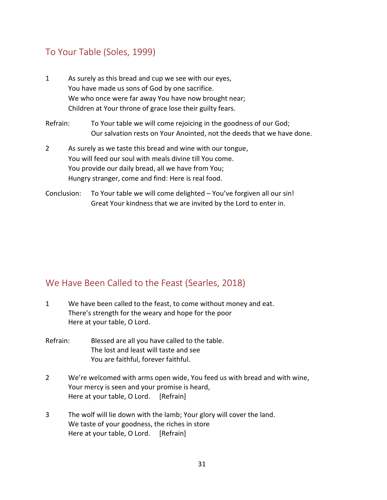#### <span id="page-31-0"></span>To Your Table (Soles, 1999)

- 1 As surely as this bread and cup we see with our eyes, You have made us sons of God by one sacrifice. We who once were far away You have now brought near; Children at Your throne of grace lose their guilty fears.
- Refrain: To Your table we will come rejoicing in the goodness of our God; Our salvation rests on Your Anointed, not the deeds that we have done.
- 2 As surely as we taste this bread and wine with our tongue, You will feed our soul with meals divine till You come. You provide our daily bread, all we have from You; Hungry stranger, come and find: Here is real food.
- Conclusion: To Your table we will come delighted You've forgiven all our sin! Great Your kindness that we are invited by the Lord to enter in.

#### <span id="page-31-1"></span>We Have Been Called to the Feast (Searles, 2018)

- 1 We have been called to the feast, to come without money and eat. There's strength for the weary and hope for the poor Here at your table, O Lord.
- Refrain: Blessed are all you have called to the table. The lost and least will taste and see You are faithful, forever faithful.
- 2 We're welcomed with arms open wide, You feed us with bread and with wine, Your mercy is seen and your promise is heard, Here at your table, O Lord. [Refrain]
- 3 The wolf will lie down with the lamb; Your glory will cover the land. We taste of your goodness, the riches in store Here at your table, O Lord. [Refrain]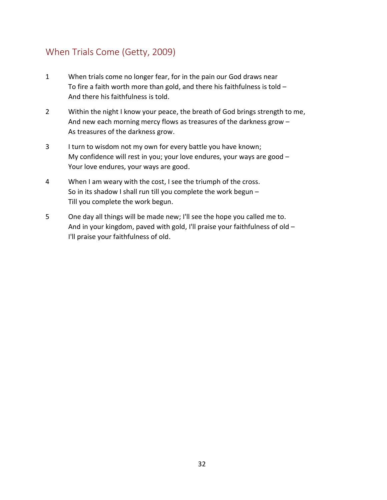## <span id="page-32-0"></span>When Trials Come (Getty, 2009)

- 1 When trials come no longer fear, for in the pain our God draws near To fire a faith worth more than gold, and there his faithfulness is told – And there his faithfulness is told.
- 2 Within the night I know your peace, the breath of God brings strength to me, And new each morning mercy flows as treasures of the darkness grow – As treasures of the darkness grow.
- 3 I turn to wisdom not my own for every battle you have known; My confidence will rest in you; your love endures, your ways are good – Your love endures, your ways are good.
- 4 When I am weary with the cost, I see the triumph of the cross. So in its shadow I shall run till you complete the work begun – Till you complete the work begun.
- 5 One day all things will be made new; I'll see the hope you called me to. And in your kingdom, paved with gold, I'll praise your faithfulness of old -I'll praise your faithfulness of old.